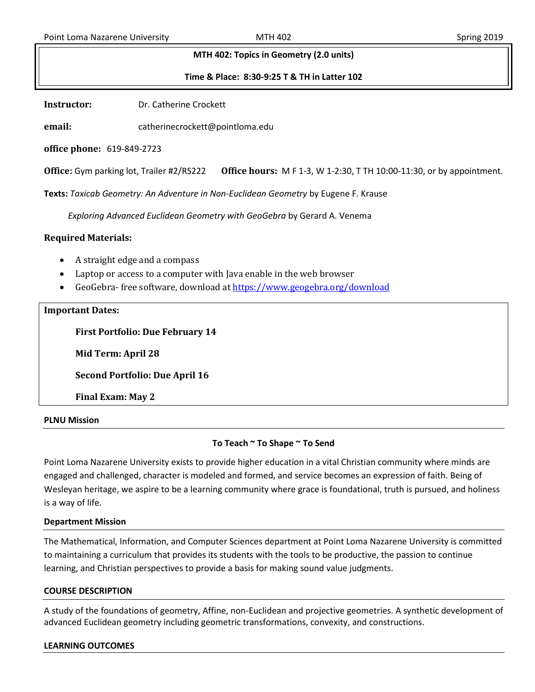### **MTH 402: Topics in Geometry (2.0 units)**

**Time & Place: 8:30-9:25 T & TH in Latter 102**

**Instructor:** Dr. Catherine Crockett

**email:** catherinecrockett@pointloma.edu

**office phone:** 619-849-2723

**Office:** Gym parking lot, Trailer #2/RS222 **Office hours:** M F 1-3, W 1-2:30, T TH 10:00-11:30, or by appointment.

**Texts:** *Taxicab Geometry: An Adventure in Non-Euclidean Geometry* by Eugene F. Krause

*Exploring Advanced Euclidean Geometry with GeoGebra* by Gerard A. Venema

### **Required Materials:**

- A straight edge and a compass
- Laptop or access to a computer with Java enable in the web browser
- GeoGebra- free software, download a[t https://www.geogebra.org/download](https://www.geogebra.org/download)

### **Important Dates:**

**First Portfolio: Due February 14** 

**Mid Term: April 28**

**Second Portfolio: Due April 16**

**Final Exam: May 2**

### **PLNU Mission**

## **To Teach ~ To Shape ~ To Send**

Point Loma Nazarene University exists to provide higher education in a vital Christian community where minds are engaged and challenged, character is modeled and formed, and service becomes an expression of faith. Being of Wesleyan heritage, we aspire to be a learning community where grace is foundational, truth is pursued, and holiness is a way of life.

### **Department Mission**

The Mathematical, Information, and Computer Sciences department at Point Loma Nazarene University is committed to maintaining a curriculum that provides its students with the tools to be productive, the passion to continue learning, and Christian perspectives to provide a basis for making sound value judgments.

### **COURSE DESCRIPTION**

A study of the foundations of geometry, Affine, non-Euclidean and projective geometries. A synthetic development of advanced Euclidean geometry including geometric transformations, convexity, and constructions.

### **LEARNING OUTCOMES**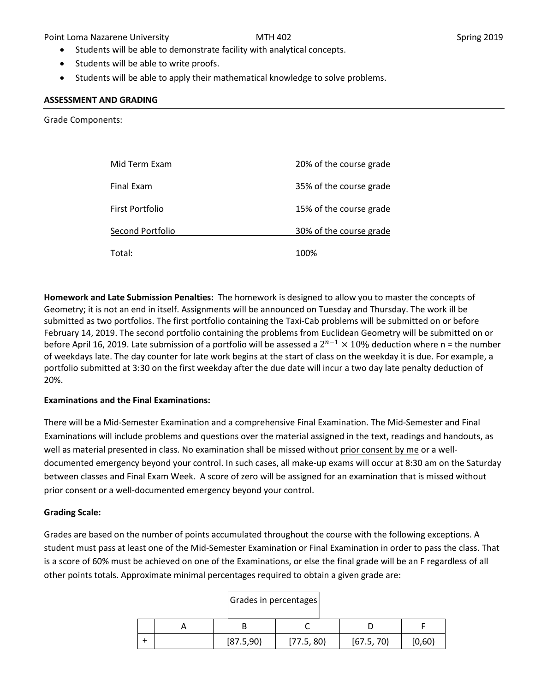Point Loma Nazarene University **MTH 402** MTH 402 Spring 2019

- Students will be able to demonstrate facility with analytical concepts.
- Students will be able to write proofs.
- Students will be able to apply their mathematical knowledge to solve problems.

### **ASSESSMENT AND GRADING**

Grade Components:

| Mid Term Exam    | 20% of the course grade |
|------------------|-------------------------|
| Final Exam       | 35% of the course grade |
| First Portfolio  | 15% of the course grade |
| Second Portfolio | 30% of the course grade |
| Total:           | 100%                    |

**Homework and Late Submission Penalties:** The homework is designed to allow you to master the concepts of Geometry; it is not an end in itself. Assignments will be announced on Tuesday and Thursday. The work ill be submitted as two portfolios. The first portfolio containing the Taxi-Cab problems will be submitted on or before February 14, 2019. The second portfolio containing the problems from Euclidean Geometry will be submitted on or before April 16, 2019. Late submission of a portfolio will be assessed a  $2^{n-1} \times 10\%$  deduction where n = the number of weekdays late. The day counter for late work begins at the start of class on the weekday it is due. For example, a portfolio submitted at 3:30 on the first weekday after the due date will incur a two day late penalty deduction of 20%.

## **Examinations and the Final Examinations:**

There will be a Mid-Semester Examination and a comprehensive Final Examination. The Mid-Semester and Final Examinations will include problems and questions over the material assigned in the text, readings and handouts, as well as material presented in class. No examination shall be missed without prior consent by me or a welldocumented emergency beyond your control. In such cases, all make-up exams will occur at 8:30 am on the Saturday between classes and Final Exam Week. A score of zero will be assigned for an examination that is missed without prior consent or a well-documented emergency beyond your control.

## **Grading Scale:**

Grades are based on the number of points accumulated throughout the course with the following exceptions. A student must pass at least one of the Mid-Semester Examination or Final Examination in order to pass the class. That is a score of 60% must be achieved on one of the Examinations, or else the final grade will be an F regardless of all other points totals. Approximate minimal percentages required to obtain a given grade are:

|  | [87.5,90] | [77.5, 80] | [67.5, 70] | [0,60) |
|--|-----------|------------|------------|--------|

## Grades in percentages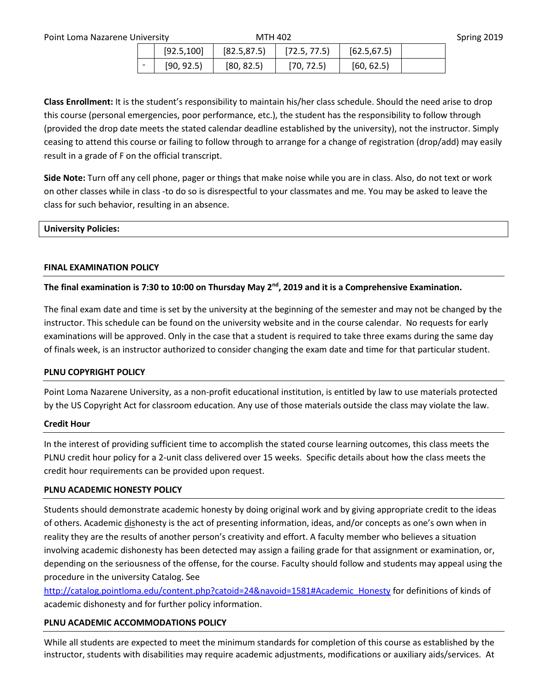| Point Loma Nazarene University |  | <b>MTH 402</b> |  |                                                 | Spring 2019         |  |
|--------------------------------|--|----------------|--|-------------------------------------------------|---------------------|--|
|                                |  |                |  | $[92.5, 100]$   $[82.5, 87.5]$   $[72.5, 77.5]$ | $\vert$ [62.5,67.5] |  |

 $[90, 92.5]$   $[80, 82.5]$   $[70, 72.5]$   $[60, 62.5]$ 

**Class Enrollment:** It is the student's responsibility to maintain his/her class schedule. Should the need arise to drop this course (personal emergencies, poor performance, etc.), the student has the responsibility to follow through (provided the drop date meets the stated calendar deadline established by the university), not the instructor. Simply ceasing to attend this course or failing to follow through to arrange for a change of registration (drop/add) may easily result in a grade of F on the official transcript.

**Side Note:** Turn off any cell phone, pager or things that make noise while you are in class. Also, do not text or work on other classes while in class -to do so is disrespectful to your classmates and me. You may be asked to leave the class for such behavior, resulting in an absence.

# **University Policies:**

## **FINAL EXAMINATION POLICY**

# **The final examination is 7:30 to 10:00 on Thursday May 2nd, 2019 and it is a Comprehensive Examination.**

The final exam date and time is set by the university at the beginning of the semester and may not be changed by the instructor. This schedule can be found on the university website and in the course calendar. No requests for early examinations will be approved. Only in the case that a student is required to take three exams during the same day of finals week, is an instructor authorized to consider changing the exam date and time for that particular student.

## **PLNU COPYRIGHT POLICY**

Point Loma Nazarene University, as a non-profit educational institution, is entitled by law to use materials protected by the US Copyright Act for classroom education. Any use of those materials outside the class may violate the law.

## **Credit Hour**

In the interest of providing sufficient time to accomplish the stated course learning outcomes, this class meets the PLNU credit hour policy for a 2-unit class delivered over 15 weeks. Specific details about how the class meets the credit hour requirements can be provided upon request.

# **PLNU ACADEMIC HONESTY POLICY**

Students should demonstrate academic honesty by doing original work and by giving appropriate credit to the ideas of others. Academic dishonesty is the act of presenting information, ideas, and/or concepts as one's own when in reality they are the results of another person's creativity and effort. A faculty member who believes a situation involving academic dishonesty has been detected may assign a failing grade for that assignment or examination, or, depending on the seriousness of the offense, for the course. Faculty should follow and students may appeal using the procedure in the university Catalog. See

[http://catalog.pointloma.edu/content.php?catoid=24&navoid=1581#Academic\\_Honesty](http://catalog.pointloma.edu/content.php?catoid=24&navoid=1581#Academic_Honesty) for definitions of kinds of academic dishonesty and for further policy information.

## **PLNU ACADEMIC ACCOMMODATIONS POLICY**

While all students are expected to meet the minimum standards for completion of this course as established by the instructor, students with disabilities may require academic adjustments, modifications or auxiliary aids/services. At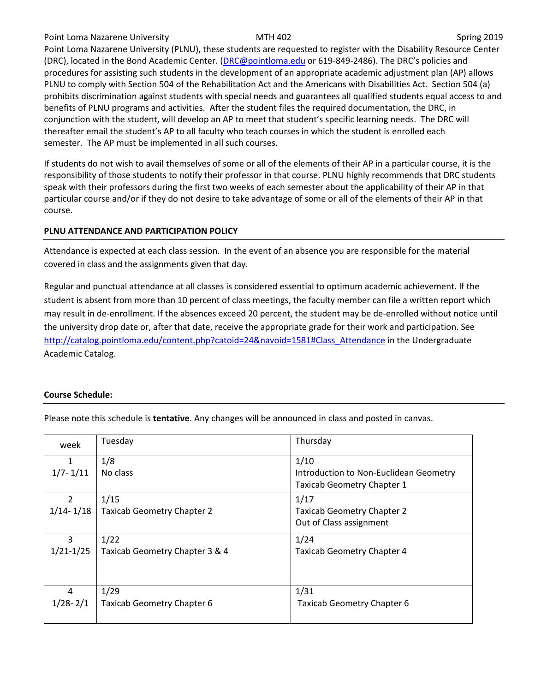### Point Loma Nazarene University **MTH 402** MTH 402 Spring 2019

Point Loma Nazarene University (PLNU), these students are requested to register with the Disability Resource Center (DRC), located in the Bond Academic Center. [\(DRC@pointloma.edu](mailto:DRC@pointloma.edu) or 619-849-2486). The DRC's policies and procedures for assisting such students in the development of an appropriate academic adjustment plan (AP) allows PLNU to comply with Section 504 of the Rehabilitation Act and the Americans with Disabilities Act. Section 504 (a) prohibits discrimination against students with special needs and guarantees all qualified students equal access to and benefits of PLNU programs and activities. After the student files the required documentation, the DRC, in conjunction with the student, will develop an AP to meet that student's specific learning needs. The DRC will thereafter email the student's AP to all faculty who teach courses in which the student is enrolled each semester. The AP must be implemented in all such courses.

If students do not wish to avail themselves of some or all of the elements of their AP in a particular course, it is the responsibility of those students to notify their professor in that course. PLNU highly recommends that DRC students speak with their professors during the first two weeks of each semester about the applicability of their AP in that particular course and/or if they do not desire to take advantage of some or all of the elements of their AP in that course.

# **PLNU ATTENDANCE AND PARTICIPATION POLICY**

Attendance is expected at each class session. In the event of an absence you are responsible for the material covered in class and the assignments given that day.

Regular and punctual attendance at all classes is considered essential to optimum academic achievement. If the student is absent from more than 10 percent of class meetings, the faculty member can file a written report which may result in de-enrollment. If the absences exceed 20 percent, the student may be de-enrolled without notice until the university drop date or, after that date, receive the appropriate grade for their work and participation. See [http://catalog.pointloma.edu/content.php?catoid=24&navoid=1581#Class\\_Attendance](http://catalog.pointloma.edu/content.php?catoid=24&navoid=1581#Class_Attendance) in the Undergraduate Academic Catalog.

## **Course Schedule:**

| week          | Tuesday                           | Thursday                               |
|---------------|-----------------------------------|----------------------------------------|
| 1             | 1/8                               | 1/10                                   |
| $1/7 - 1/11$  | No class                          | Introduction to Non-Euclidean Geometry |
|               |                                   | Taxicab Geometry Chapter 1             |
| $\mathcal{P}$ | 1/15                              | 1/17                                   |
| $1/14 - 1/18$ | <b>Taxicab Geometry Chapter 2</b> | <b>Taxicab Geometry Chapter 2</b>      |
|               |                                   | Out of Class assignment                |
| 3             | 1/22                              | 1/24                                   |
| $1/21 - 1/25$ | Taxicab Geometry Chapter 3 & 4    | <b>Taxicab Geometry Chapter 4</b>      |
|               |                                   |                                        |
|               |                                   |                                        |
| 4             | 1/29                              | 1/31                                   |
| $1/28 - 2/1$  | <b>Taxicab Geometry Chapter 6</b> | <b>Taxicab Geometry Chapter 6</b>      |
|               |                                   |                                        |

Please note this schedule is **tentative**. Any changes will be announced in class and posted in canvas.